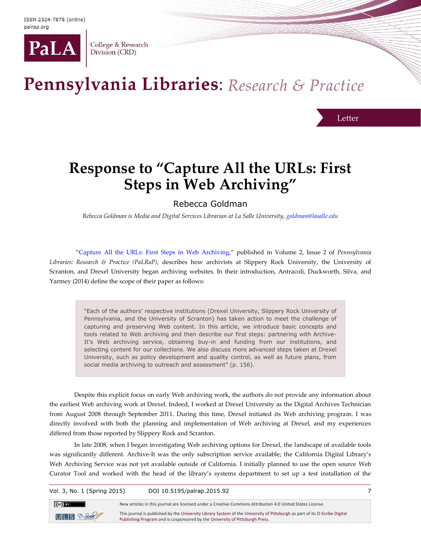

College & Research Division (CRD)

## Pennsylvania Libraries: Research & Practice

Letter

## **Response to "Capture All the URLs: First Steps in Web Archiving"**

## Rebecca Goldman

*Rebecca Goldman is Media and Digital Services Librarian at La Salle University[, goldman@lasalle.edu](mailto:goldman@lasalle.edu)*

"[Capture All the URLs: First Steps in Web Archiving](http://palrap.org/ojs/index.php/palrap/article/view/67/370)," published in Volume 2, Issue 2 of *Pennsylvania Libraries: Research & Practice (PaLRaP)*, describes how archivists at Slippery Rock University, the University of Scranton, and Drexel University began archiving websites. In their introduction, Antracoli, Duckworth, Silva, and Yarmey (2014) define the scope of their paper as follows:

> "Each of the authors' respective institutions (Drexel University, Slippery Rock University of Pennsylvania, and the University of Scranton) has taken action to meet the challenge of capturing and preserving Web content. In this article, we introduce basic concepts and tools related to Web archiving and then describe our first steps: partnering with Archive-It's Web archiving service, obtaining buy-in and funding from our institutions, and selecting content for our collections. We also discuss more advanced steps taken at Drexel University, such as policy development and quality control, as well as future plans, from social media archiving to outreach and assessment" (p. 156).

Despite this explicit focus on early Web archiving work, the authors do not provide any information about the earliest Web archiving work at Drexel. Indeed, I worked at Drexel University as the Digital Archives Technician from August 2008 through September 2011. During this time, Drexel initiated its Web archiving program. I was directly involved with both the planning and implementation of Web archiving at Drexel, and my experiences differed from those reported by Slippery Rock and Scranton.

In late 2008, when I began investigating Web archiving options for Drexel, the landscape of available tools was significantly different. Archive-It was the only subscription service available; the California Digital Library's Web Archiving Service was not yet available outside of California. I initially planned to use the open source Web Curator Tool and worked with the head of the library's systems department to set up a test installation of the

Vol. 3, No. 1 (Spring 2015) DOI 10.5195/palrap.2015.92 7